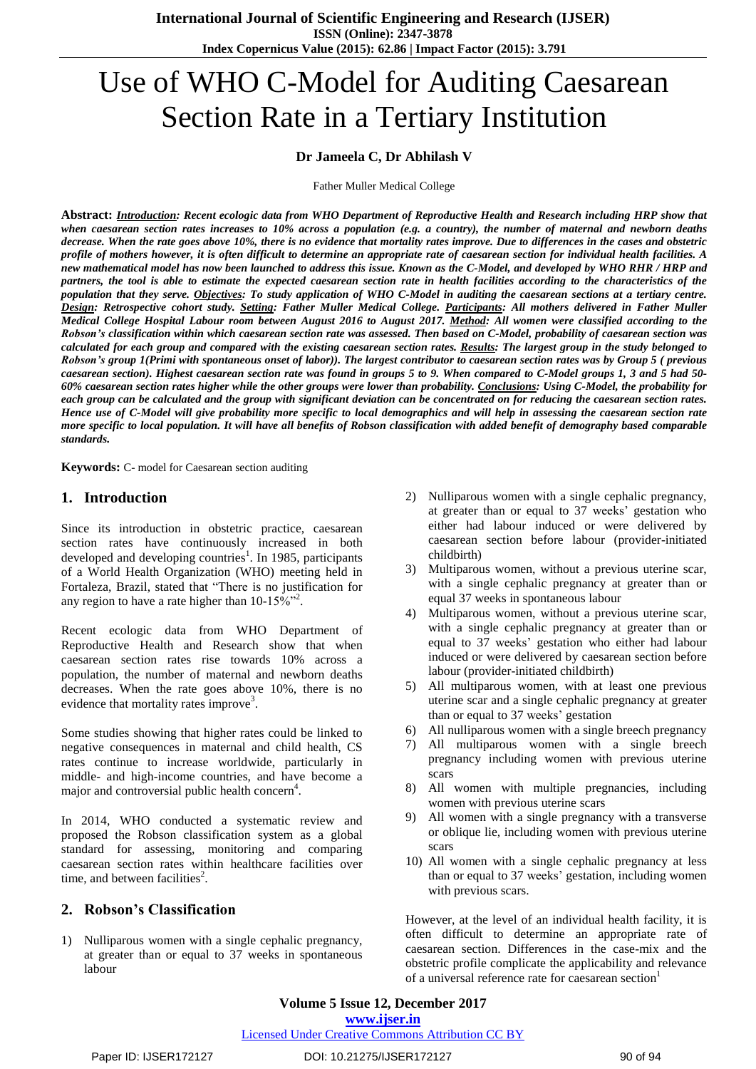# Use of WHO C-Model for Auditing Caesarean Section Rate in a Tertiary Institution

## **Dr Jameela C, Dr Abhilash V**

Father Muller Medical College

Abstract: **Introduction**: Recent ecologic data from WHO Department of Reproductive Health and Research including HRP show that when caesarean section rates increases to  $10\%$  across a population (e.g. a country), the number of maternal and newborn deaths decrease. When the rate goes above 10%, there is no evidence that mortality rates improve. Due to differences in the cases and obstetric profile of mothers however, it is often difficult to determine an appropriate rate of caesarean section for individual health facilities. A new mathematical model has now been launched to address this issue. Known as the C-Model, and developed by WHO RHR / HRP and partners, the tool is able to estimate the expected caesarean section rate in health facilities according to the characteristics of the population that they serve. Objectives: To study application of WHO C-Model in auditing the caesarean sections at a tertiary centre. Design: Retrospective cohort study. Setting: Father Muller Medical College. Participants: All mothers delivered in Father Muller Medical College Hospital Labour room between August 2016 to August 2017. Method: All women were classified according to the Robson's classification within which caesarean section rate was assessed. Then based on C-Model, probability of caesarean section was calculated for each group and compared with the existing caesarean section rates. Results: The largest group in the study belonged to Robson's group 1(Primi with spontaneous onset of labor)). The largest contributor to caesarean section rates was by Group 5 (previous caesarean section). Highest caesarean section rate was found in groups 5 to 9. When compared to C-Model groups 1, 3 and 5 had 50-60% caesarean section rates higher while the other groups were lower than probability. Conclusions: Using C-Model, the probability for each group can be calculated and the group with significant deviation can be concentrated on for reducing the caesarean section rates. Hence use of C-Model will give probability more specific to local demographics and will help in assessing the caesarean section rate more specific to local population. It will have all benefits of Robson classification with added benefit of demography based comparable *standards.*

**Keywords:** C- model for Caesarean section auditing

## **1. Introduction**

Since its introduction in obstetric practice, caesarean section rates have continuously increased in both developed and developing countries<sup>1</sup>. In 1985, participants of a World Health Organization (WHO) meeting held in Fortaleza, Brazil, stated that "There is no justification for any region to have a rate higher than  $10-15\%$ <sup>32</sup>.

Recent ecologic data from WHO Department of Reproductive Health and Research show that when caesarean section rates rise towards 10% across a population, the number of maternal and newborn deaths decreases. When the rate goes above 10%, there is no evidence that mortality rates improve<sup>3</sup>.

Some studies showing that higher rates could be linked to negative consequences in maternal and child health, CS rates continue to increase worldwide, particularly in middle- and high-income countries, and have become a major and controversial public health concern<sup>4</sup>.

In 2014, WHO conducted a systematic review and proposed the Robson classification system as a global standard for assessing, monitoring and comparing caesarean section rates within healthcare facilities over time, and between facilities<sup>2</sup>.

## **2. Robson's Classification**

1) Nulliparous women with a single cephalic pregnancy, at greater than or equal to 37 weeks in spontaneous labour

- 2) Nulliparous women with a single cephalic pregnancy, at greater than or equal to 37 weeks' gestation who either had labour induced or were delivered by caesarean section before labour (provider-initiated childbirth)
- 3) Multiparous women, without a previous uterine scar, with a single cephalic pregnancy at greater than or equal 37 weeks in spontaneous labour
- 4) Multiparous women, without a previous uterine scar, with a single cephalic pregnancy at greater than or equal to 37 weeks' gestation who either had labour induced or were delivered by caesarean section before labour (provider-initiated childbirth)
- 5) All multiparous women, with at least one previous uterine scar and a single cephalic pregnancy at greater than or equal to 37 weeks' gestation
- 6) All nulliparous women with a single breech pregnancy
- 7) All multiparous women with a single breech pregnancy including women with previous uterine scars
- 8) All women with multiple pregnancies, including women with previous uterine scars
- 9) All women with a single pregnancy with a transverse or oblique lie, including women with previous uterine scars
- 10) All women with a single cephalic pregnancy at less than or equal to 37 weeks' gestation, including women with previous scars.

However, at the level of an individual health facility, it is often difficult to determine an appropriate rate of caesarean section. Differences in the case-mix and the obstetric profile complicate the applicability and relevance of a universal reference rate for caesarean section<sup>1</sup>

**Volume 5 Issue 12, December 2017 <www.ijser.in>**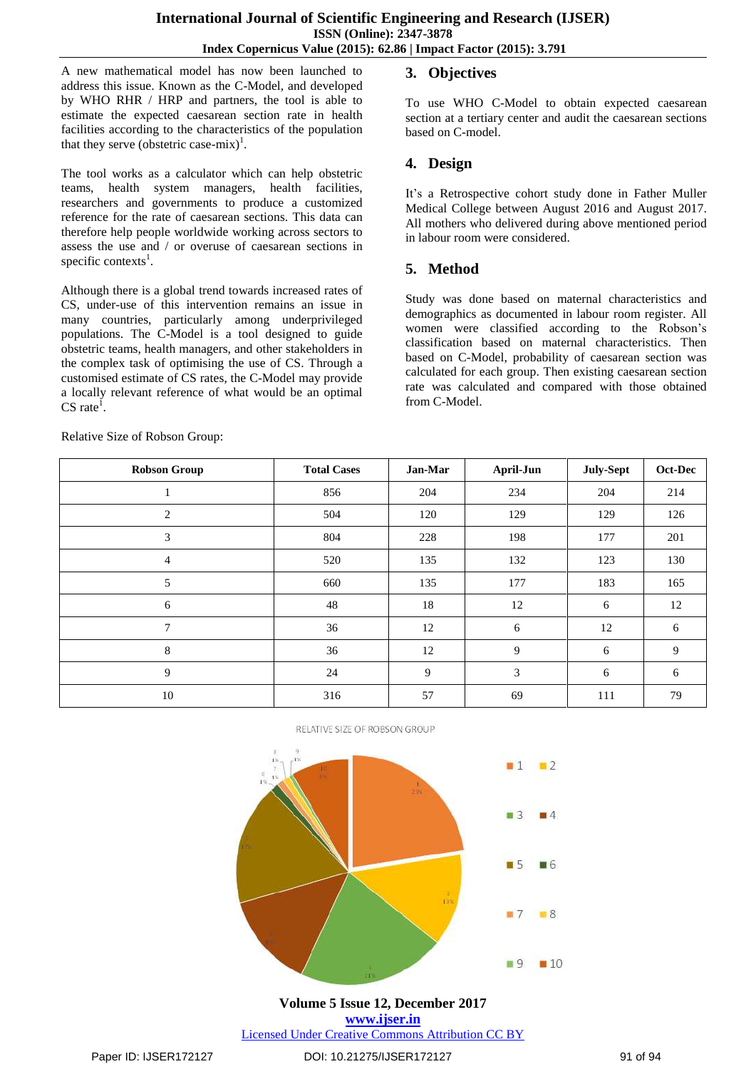A new mathematical model has now been launched to address this issue. Known as the C-Model, and developed by WHO RHR / HRP and partners, the tool is able to estimate the expected caesarean section rate in health facilities according to the characteristics of the population that they serve (obstetric case-mix)<sup>1</sup>.

The tool works as a calculator which can help obstetric teams, health system managers, health facilities, researchers and governments to produce a customized reference for the rate of caesarean sections. This data can therefore help people worldwide working across sectors to assess the use and / or overuse of caesarean sections in specific contexts<sup>1</sup>.

Although there is a global trend towards increased rates of CS, under-use of this intervention remains an issue in many countries, particularly among underprivileged populations. The C-Model is a tool designed to guide obstetric teams, health managers, and other stakeholders in the complex task of optimising the use of CS. Through a customised estimate of CS rates, the C-Model may provide a locally relevant reference of what would be an optimal  $CS$  rate<sup>1</sup>.

Relative Size of Robson Group:

# **3. Objectives**

To use WHO C-Model to obtain expected caesarean section at a tertiary center and audit the caesarean sections based on C-model.

# **4. Design**

It's a Retrospective cohort study done in Father Muller Medical College between August 2016 and August 2017. All mothers who delivered during above mentioned period in labour room were considered.

# **5. Method**

Study was done based on maternal characteristics and demographics as documented in labour room register. All women were classified according to the Robson's classification based on maternal characteristics. Then based on C-Model, probability of caesarean section was calculated for each group. Then existing caesarean section rate was calculated and compared with those obtained from C-Model.

**Robson Group Total Cases Jan-Mar April-Jun July-Sept Oct-Dec** 1 1 856 204 234 204 214 2 120 120 129 129 126 3 804 228 198 177 201 4 520 135 132 123 130 5 660 135 177 183 165 6 48 18 12 6 12 7 36 12 6 12 6 8 36 12 9 6 9 9 24 9 3 6 6 10 10 316 57 69 111 79

RELATIVE SIZE OF ROBSON GROUP



**Volume 5 Issue 12, December 2017 <www.ijser.in>** [Licensed Under Creative Commons Attribution CC BY](http://creativecommons.org/licenses/by/4.0/)

Paper ID: IJSER172127 DOI: 10.21275/IJSER172127 91 of 94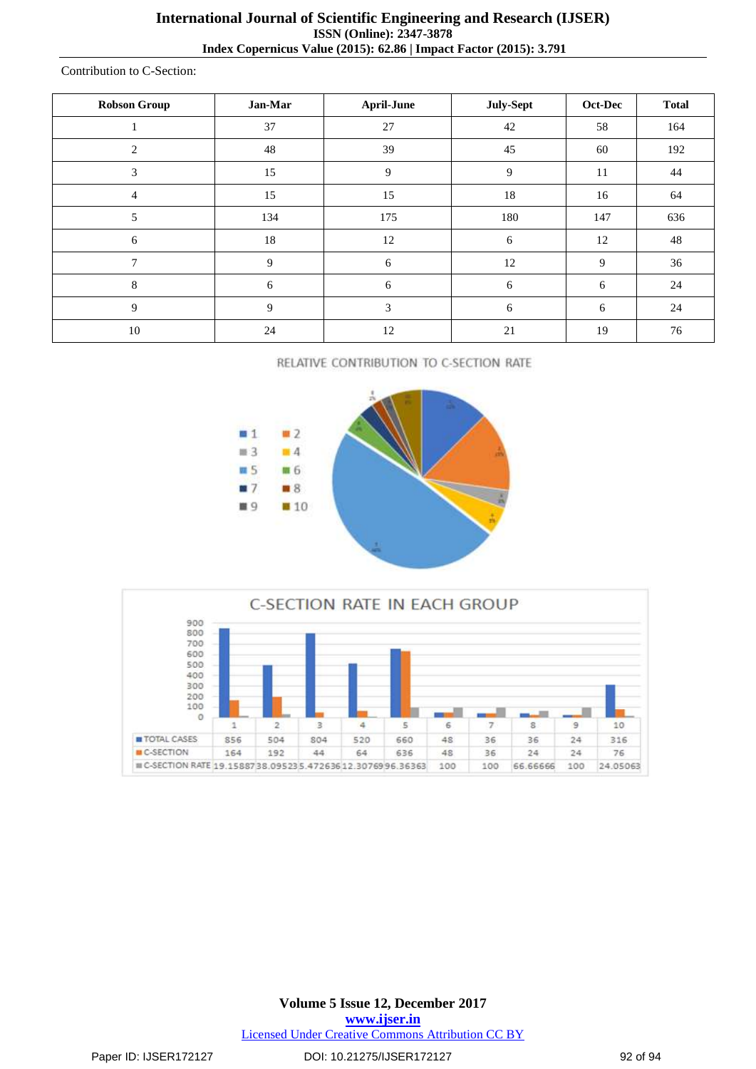Contribution to C-Section:

| <b>Robson Group</b> | Jan-Mar | <b>April-June</b> | July-Sept      | Oct-Dec | <b>Total</b> |
|---------------------|---------|-------------------|----------------|---------|--------------|
|                     | 37      | 27                | 42             | 58      | 164          |
| $\overline{c}$      | 48      | 39                | 45             | 60      | 192          |
| 3                   | 15      | 9                 | $\overline{9}$ | 11      | 44           |
| 4                   | 15      | 15                | 18             | 16      | 64           |
| 5                   | 134     | 175               | 180            | 147     | 636          |
| 6                   | 18      | 12                | 6              | 12      | 48           |
| 7                   | 9       | 6                 | 12             | 9       | 36           |
| 8                   | 6       | 6                 | 6              | 6       | 24           |
| 9                   | 9       | 3                 | 6              | 6       | 24           |
| 10                  | 24      | 12                | 21             | 19      | 76           |

RELATIVE CONTRIBUTION TO C-SECTION RATE





**Volume 5 Issue 12, December 2017 <www.ijser.in>** [Licensed Under Creative Commons Attribution CC BY](http://creativecommons.org/licenses/by/4.0/)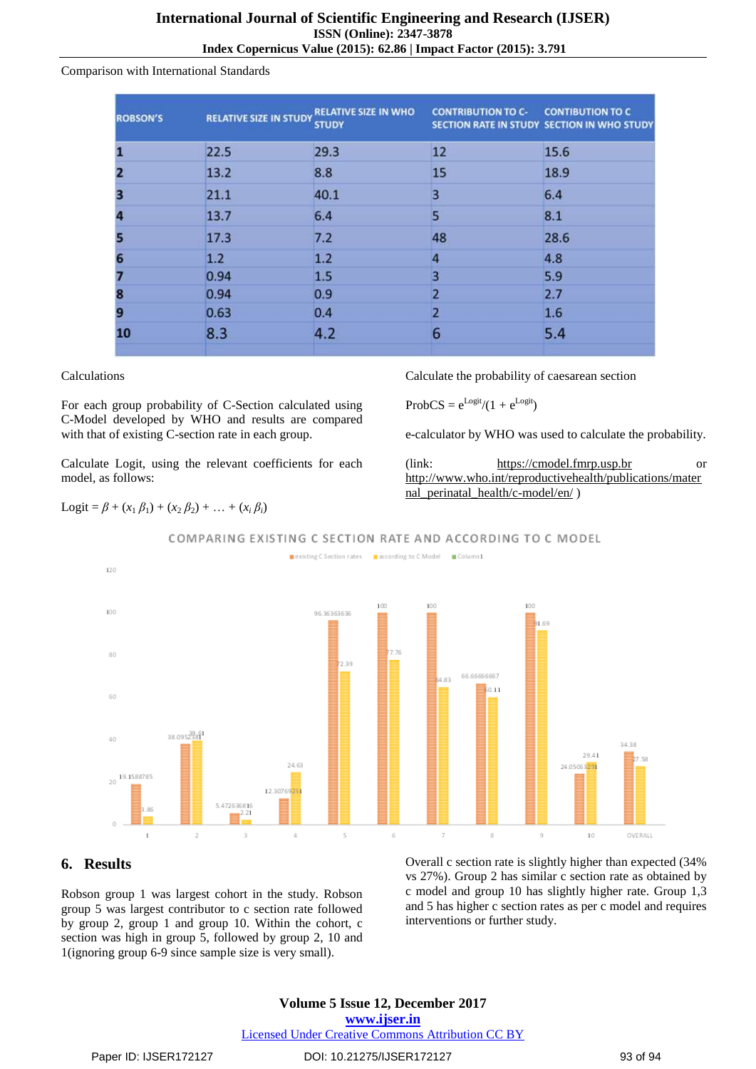#### Comparison with International Standards

| <b>ROBSON'S</b> |      | RELATIVE SIZE IN STUDY RELATIVE SIZE IN WHO<br><b>STUDY</b> | <b>CONTRIBUTION TO C- CONTIBUTION TO C</b> | SECTION RATE IN STUDY SECTION IN WHO STUDY |
|-----------------|------|-------------------------------------------------------------|--------------------------------------------|--------------------------------------------|
|                 | 22.5 | 29.3                                                        | 12                                         | 15.6                                       |
| Þ.              | 13.2 | 8.8                                                         | 15                                         | 18.9                                       |
| 8               | 21.1 | 40.1                                                        | $\overline{\mathbf{3}}$                    | 6.4                                        |
|                 | 13.7 | 6.4                                                         | 5                                          | 8.1                                        |
| ы               | 17.3 | 7.2                                                         | 48                                         | 28.6                                       |
| 6               | 1.2  | 1.2                                                         | $\overline{4}$                             | 4.8                                        |
|                 | 0.94 | 1.5                                                         | $\overline{\mathbf{3}}$                    | 5.9                                        |
|                 | 0.94 | 0.9                                                         | $\overline{2}$                             | 2.7                                        |
| 9               | 0.63 | 0.4                                                         | $\overline{2}$                             | 1.6                                        |
| 10              | 8.3  | 4.2                                                         | 6                                          | 5.4                                        |

#### Calculations

For each group probability of C-Section calculated using C-Model developed by WHO and results are compared with that of existing C-section rate in each group.

Calculate Logit, using the relevant coefficients for each model, as follows:

Calculate the probability of caesarean section

 $\text{ProbCS} = e^{\text{Logit}}/(1 + e^{\text{Logit}})$ 

e-calculator by WHO was used to calculate the probability.

(link: [https://cmodel.fmrp.usp.br](https://cmodel.fmrp.usp.br/) or [http://www.who.int/reproductivehealth/publications/mater](http://www.who.int/reproductivehealth/publications/maternal_perinatal_health/c-model/en/) [nal\\_perinatal\\_health/c-model/en/](http://www.who.int/reproductivehealth/publications/maternal_perinatal_health/c-model/en/) )

 $\text{Logit} = \beta + (x_1 \beta_1) + (x_2 \beta_2) + \ldots + (x_i \beta_i)$ 



COMPARING EXISTING C SECTION RATE AND ACCORDING TO C MODEL

## **6. Results**

Robson group 1 was largest cohort in the study. Robson group 5 was largest contributor to c section rate followed by group 2, group 1 and group 10. Within the cohort, c section was high in group 5, followed by group 2, 10 and 1(ignoring group 6-9 since sample size is very small).

Overall c section rate is slightly higher than expected (34% vs 27%). Group 2 has similar c section rate as obtained by c model and group 10 has slightly higher rate. Group 1,3 and 5 has higher c section rates as per c model and requires interventions or further study.

## **Volume 5 Issue 12, December 2017 <www.ijser.in>** [Licensed Under Creative Commons Attribution CC BY](http://creativecommons.org/licenses/by/4.0/)

34.38

OVERALL